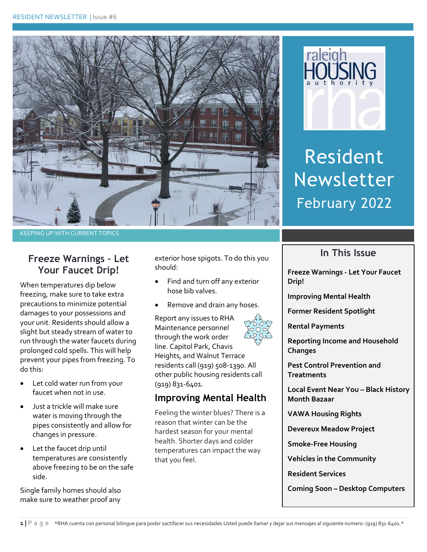



Resident Newsletter February 2022

#### KEEPING UP WITH CURRENT TOPICS

## **Freeze Warnings – Let Your Faucet Drip!**

When temperatures dip below freezing, make sure to take extra precautions to minimize potential damages to your possessions and your unit. Residents should allow a slight but steady stream of water to run through the water faucets during prolonged cold spells. This will help prevent your pipes from freezing. To do this:

- Let cold water run from your faucet when not in use.
- Just a trickle will make sure water is moving through the pipes consistently and allow for changes in pressure.
- Let the faucet drip until temperatures are consistently above freezing to be on the safe side.

Single family homes should also make sure to weather proof any exterior hose spigots. To do this you should:

- Find and turn off any exterior hose bib valves.
- Remove and drain any hoses.

Report any issues to RHA Maintenance personnel through the work order line. Capitol Park, Chavis Heights, and Walnut Terrace residents call (919) 508-1390. All other public housing residents call (919) 831-6401.

## **Improving Mental Health**

Feeling the winter blues? There is a reason that winter can be the hardest season for your mental health. Shorter days and colder temperatures can impact the way that you feel.



**Freeze Warnings - Let Your Faucet** 

**In This Issue**

**Improving Mental Health**

**Former Resident Spotlight**

**Rental Payments**

**Drip!**

**Reporting Income and Household Changes**

**Pest Control Prevention and Treatments**

**Local Event Near You – Black History Month Bazaar**

**VAWA Housing Rights**

**Devereux Meadow Project**

**Smoke-Free Housing**

**Vehicles in the Community**

**Resident Services** 

**Coming Soon – Desktop Computers**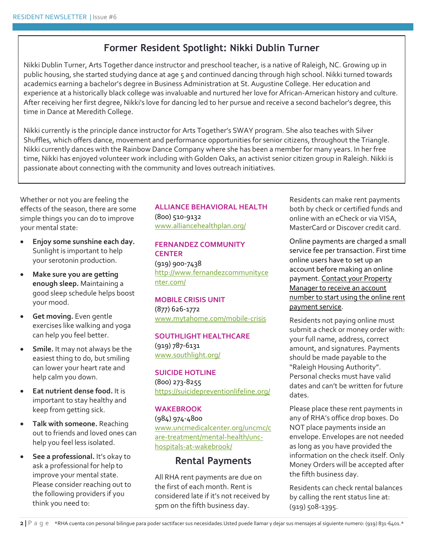# **Former Resident Spotlight: Nikki Dublin Turner**

Nikki Dublin Turner, Arts Together dance instructor and preschool teacher, is a native of Raleigh, NC. Growing up in public housing, she started studying dance at age 5 and continued dancing through high school. Nikki turned towards academics earning a bachelor's degree in Business Administration at St. Augustine College. Her education and experience at a historically black college was invaluable and nurtured her love for African-American history and culture. After receiving her first degree, Nikki's love for dancing led to her pursue and receive a second bachelor's degree, this time in Dance at Meredith College.

Nikki currently is the principle dance instructor for Arts Together's SWAY program. She also teaches with Silver Shuffles, which offers dance, movement and performance opportunities for senior citizens, throughout the Triangle. Nikki currently dances with the Rainbow Dance Company where she has been a member for many years. In her free time, Nikki has enjoyed volunteer work including with Golden Oaks, an activist senior citizen group in Raleigh. Nikki is passionate about connecting with the community and loves outreach initiatives.

Whether or not you are feeling the effects of the season, there are some simple things you can do to improve your mental state:

- **Enjoy some sunshine each day.** Sunlight is important to help your serotonin production.
- **Make sure you are getting enough sleep.** Maintaining a good sleep schedule helps boost your mood.
- **Get moving.** Even gentle exercises like walking and yoga can help you feel better.
- **Smile.** It may not always be the easiest thing to do, but smiling can lower your heart rate and help calm you down.
- **Eat nutrient dense food.** It is important to stay healthy and keep from getting sick.
- **Talk with someone.** Reaching out to friends and loved ones can help you feel less isolated.
- **See a professional.** It's okay to ask a professional for help to improve your mental state. Please consider reaching out to the following providers if you think you need to:

## **ALLIANCE BEHAVIORAL HEALTH**

(800) 510-9132 [www.alliancehealthplan.org/](http://www.alliancehealthplan.org/)

### **FERNANDEZ COMMUNITY CENTER**

(919) 900-7438 [http://www.fernandezcommunityce](http://www.fernandezcommunitycenter.com/) [nter.com/](http://www.fernandezcommunitycenter.com/)

**MOBILE CRISIS UNIT** (877) 626-1772 [www.mytahome.com/mobile-crisis](http://www.mytahome.com/mobile-crisis)

### **SOUTHLIGHT HEALTHCARE** (919) 787-6131 [www.southlight.org/](http://www.southlight.org/)

#### **SUICIDE HOTLINE**  (800) 273-8255 <https://suicidepreventionlifeline.org/>

### **WAKEBROOK**

(984) 974-4800 [www.uncmedicalcenter.org/uncmc/c](http://www.uncmedicalcenter.org/uncmc/care-treatment/mental-health/unc-hospitals-at-wakebrook/) [are-treatment/mental-health/unc](http://www.uncmedicalcenter.org/uncmc/care-treatment/mental-health/unc-hospitals-at-wakebrook/)[hospitals-at-wakebrook/](http://www.uncmedicalcenter.org/uncmc/care-treatment/mental-health/unc-hospitals-at-wakebrook/)

## **Rental Payments**

All RHA rent payments are due on the first of each month. Rent is considered late if it's not received by 5pm on the fifth business day.

Residents can make rent payments both by check or certified funds and online with an eCheck or via VISA, MasterCard or Discover credit card.

Online payments are charged a small service fee per transaction. First time online users have to set up an account before making an online payment. Contact your Property Manager to receive an account number to start using the online rent payment service.

Residents not paying online must submit a check or money order with: your full name, address, correct amount, and signatures. Payments should be made payable to the "Raleigh Housing Authority". Personal checks must have valid dates and can't be written for future dates.

Please place these rent payments in any of RHA's office drop boxes. Do NOT place payments inside an envelope. Envelopes are not needed as long as you have provided the information on the check itself. Only Money Orders will be accepted after the fifth business day.

Residents can check rental balances by calling the rent status line at: (919) 508-1395.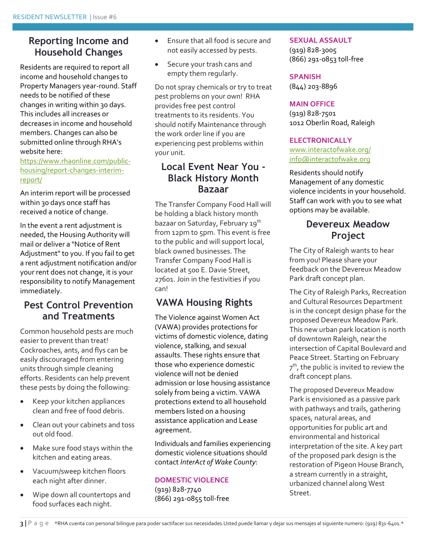## **Reporting Income and Household Changes**

Residents are required to report all income and household changes to Property Managers year-round. Staff needs to be notified of these changes in writing within 30 days. This includes all increases or decreases in income and household members. Changes can also be submitted online through RHA's website here:

[https://www.rhaonline.com/public](https://www.rhaonline.com/public-housing/report-changes-interim-report/)[housing/report-changes-interim](https://www.rhaonline.com/public-housing/report-changes-interim-report/)[report/](https://www.rhaonline.com/public-housing/report-changes-interim-report/)

An interim report will be processed within 30 days once staff has received a notice of change.

In the event a rent adjustment is needed, the Housing Authority will mail or deliver a "Notice of Rent Adjustment" to you. If you fail to get a rent adjustment notification and/or your rent does not change, it is your responsibility to notify Management immediately.

## **Pest Control Prevention and Treatments**

Common household pests are much easier to prevent than treat! Cockroaches, ants, and flys can be easily discouraged from entering units through simple cleaning efforts. Residents can help prevent these pests by doing the following:

- Keep your kitchen appliances clean and free of food debris.
- Clean out your cabinets and toss out old food.
- Make sure food stays within the kitchen and eating areas.
- Vacuum/sweep kitchen floors each night after dinner.
- Wipe down all countertops and food surfaces each night.
- Ensure that all food is secure and not easily accessed by pests.
- Secure your trash cans and empty them regularly.

Do not spray chemicals or try to treat pest problems on your own! RHA provides free pest control treatments to its residents. You should notify Maintenance through the work order line if you are experiencing pest problems within your unit.

## **Local Event Near You - Black History Month Bazaar**

The Transfer Company Food Hall will be holding a black history month bazaar on Saturday, February 19<sup>th</sup> from 12pm to 5pm. This event is free to the public and will support local, black owned businesses. The Transfer Company Food Hall is located at 500 E. Davie Street, 27601. Join in the festivities if you can!

# **VAWA Housing Rights**

The Violence against Women Act (VAWA) provides protections for victims of domestic violence, dating violence, stalking, and sexual assaults. These rights ensure that those who experience domestic violence will not be denied admission or lose housing assistance solely from being a victim. VAWA protections extend to all household members listed on a housing assistance application and Lease agreement.

Individuals and families experiencing domestic violence situations should contact *InterAct of Wake County*:

### **DOMESTIC VIOLENCE**

(919) 828-7740 (866) 291-0855 toll-free

#### **SEXUAL ASSAULT**

(919) 828-3005 (866) 291-0853 toll-free

#### **SPANISH**

(844) 203-8896

#### **MAIN OFFICE**

(919) 828-7501 1012 Oberlin Road, Raleigh

#### **ELECTRONICALLY**

[www.interactofwake.org/](http://www.interactofwake.org/) [info@interactofwake.org](mailto:info@interactofwake.org)

Residents should notify Management of any domestic violence incidents in your household. Staff can work with you to see what options may be available.

## **Devereux Meadow Project**

The City of Raleigh wants to hear from you! Please share your feedback on the Devereux Meadow Park draft concept plan.

The City of Raleigh Parks, Recreation and Cultural Resources Department is in the concept design phase for the proposed Devereux Meadow Park. This new urban park location is north of downtown Raleigh, near the intersection of Capital Boulevard and Peace Street. Starting on February  $7^{\text{th}}$ , the public is invited to review the draft concept plans.

The proposed Devereux Meadow Park is envisioned as a passive park with pathways and trails, gathering spaces, natural areas, and opportunities for public art and environmental and historical interpretation of the site. A key part of the proposed park design is the restoration of Pigeon House Branch, a stream currently in a straight, urbanized channel along West Street.